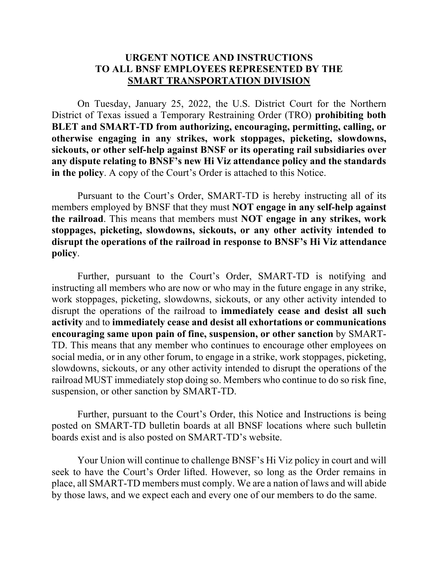# **URGENT NOTICE AND INSTRUCTIONS TO ALL BNSF EMPLOYEES REPRESENTED BY THE SMART TRANSPORTATION DIVISION**

On Tuesday, January 25, 2022, the U.S. District Court for the Northern District of Texas issued a Temporary Restraining Order (TRO) **prohibiting both BLET and SMART-TD from authorizing, encouraging, permitting, calling, or otherwise engaging in any strikes, work stoppages, picketing, slowdowns, sickouts, or other self-help against BNSF or its operating rail subsidiaries over any dispute relating to BNSF's new Hi Viz attendance policy and the standards in the policy**. A copy of the Court's Order is attached to this Notice.

Pursuant to the Court's Order, SMART-TD is hereby instructing all of its members employed by BNSF that they must **NOT engage in any self-help against the railroad**. This means that members must **NOT engage in any strikes, work stoppages, picketing, slowdowns, sickouts, or any other activity intended to disrupt the operations of the railroad in response to BNSF's Hi Viz attendance policy**.

Further, pursuant to the Court's Order, SMART-TD is notifying and instructing all members who are now or who may in the future engage in any strike, work stoppages, picketing, slowdowns, sickouts, or any other activity intended to disrupt the operations of the railroad to **immediately cease and desist all such activity** and to **immediately cease and desist all exhortations or communications encouraging same upon pain of fine, suspension, or other sanction** by SMART-TD. This means that any member who continues to encourage other employees on social media, or in any other forum, to engage in a strike, work stoppages, picketing, slowdowns, sickouts, or any other activity intended to disrupt the operations of the railroad MUST immediately stop doing so. Members who continue to do so risk fine, suspension, or other sanction by SMART-TD.

Further, pursuant to the Court's Order, this Notice and Instructions is being posted on SMART-TD bulletin boards at all BNSF locations where such bulletin boards exist and is also posted on SMART-TD's website.

Your Union will continue to challenge BNSF's Hi Viz policy in court and will seek to have the Court's Order lifted. However, so long as the Order remains in place, all SMART-TD members must comply. We are a nation of laws and will abide by those laws, and we expect each and every one of our members to do the same.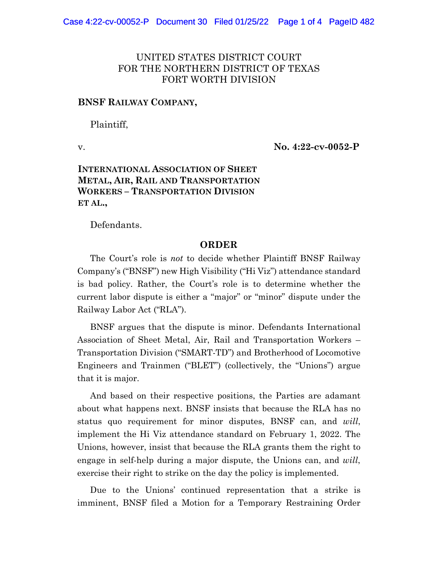## UNITED STATES DISTRICT COURT FOR THE NORTHERN DISTRICT OF TEXAS FORT WORTH DIVISION

### **BNSF RAILWAY COMPANY,**

Plaintiff,

v. **No. 4:22-cv-0052-P**

## **INTERNATIONAL ASSOCIATION OF SHEET METAL, AIR, RAIL AND TRANSPORTATION WORKERS – TRANSPORTATION DIVISION ET AL.,**

Defendants.

#### **ORDER**

The Court's role is *not* to decide whether Plaintiff BNSF Railway Company's ("BNSF") new High Visibility ("Hi Viz") attendance standard is bad policy. Rather, the Court's role is to determine whether the current labor dispute is either a "major" or "minor" dispute under the Railway Labor Act ("RLA").

BNSF argues that the dispute is minor. Defendants International Association of Sheet Metal, Air, Rail and Transportation Workers – Transportation Division ("SMART-TD") and Brotherhood of Locomotive Engineers and Trainmen ("BLET") (collectively, the "Unions") argue that it is major.

And based on their respective positions, the Parties are adamant about what happens next. BNSF insists that because the RLA has no status quo requirement for minor disputes, BNSF can, and *will*, implement the Hi Viz attendance standard on February 1, 2022. The Unions, however, insist that because the RLA grants them the right to engage in self-help during a major dispute, the Unions can, and *will*, exercise their right to strike on the day the policy is implemented.

Due to the Unions' continued representation that a strike is imminent, BNSF filed a Motion for a Temporary Restraining Order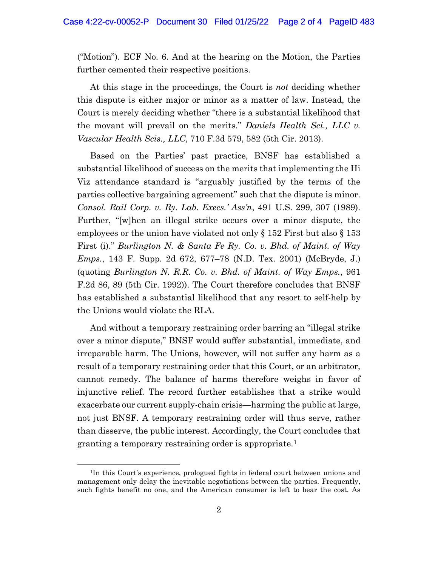("Motion"). ECF No. 6. And at the hearing on the Motion, the Parties further cemented their respective positions.

At this stage in the proceedings, the Court is *not* deciding whether this dispute is either major or minor as a matter of law. Instead, the Court is merely deciding whether "there is a substantial likelihood that the movant will prevail on the merits." *Daniels Health Sci., LLC v. Vascular Health Scis., LLC*, 710 F.3d 579, 582 (5th Cir. 2013).

Based on the Parties' past practice, BNSF has established a substantial likelihood of success on the merits that implementing the Hi Viz attendance standard is "arguably justified by the terms of the parties collective bargaining agreement" such that the dispute is minor. *Consol. Rail Corp. v. Ry. Lab. Execs.' Ass'n*, 491 U.S. 299, 307 (1989). Further, "[w]hen an illegal strike occurs over a minor dispute, the employees or the union have violated not only  $\S 152$  First but also  $\S 153$ First (i)." *Burlington N. & Santa Fe Ry. Co. v. Bhd. of Maint. of Way Emps.*, 143 F. Supp. 2d 672, 677–78 (N.D. Tex. 2001) (McBryde, J.) (quoting *Burlington N. R.R. Co. v. Bhd. of Maint. of Way Emps.*, 961 F.2d 86, 89 (5th Cir. 1992)). The Court therefore concludes that BNSF has established a substantial likelihood that any resort to self-help by the Unions would violate the RLA.

And without a temporary restraining order barring an "illegal strike over a minor dispute," BNSF would suffer substantial, immediate, and irreparable harm. The Unions, however, will not suffer any harm as a result of a temporary restraining order that this Court, or an arbitrator, cannot remedy. The balance of harms therefore weighs in favor of injunctive relief. The record further establishes that a strike would exacerbate our current supply-chain crisis—harming the public at large, not just BNSF. A temporary restraining order will thus serve, rather than disserve, the public interest. Accordingly, the Court concludes that granting a temporary restraining order is appropriate.1

<sup>1</sup>In this Court's experience, prologued fights in federal court between unions and management only delay the inevitable negotiations between the parties. Frequently, such fights benefit no one, and the American consumer is left to bear the cost. As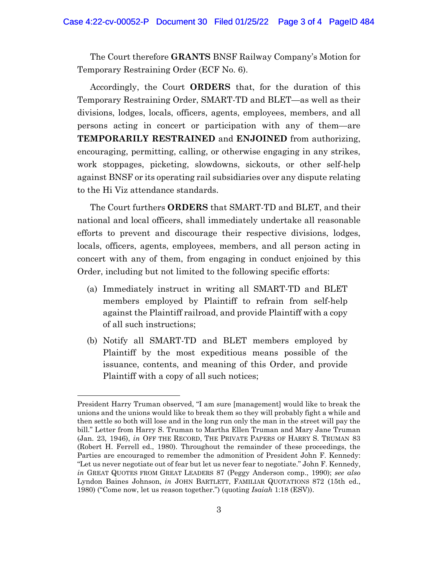The Court therefore **GRANTS** BNSF Railway Company's Motion for Temporary Restraining Order (ECF No. 6).

Accordingly, the Court **ORDERS** that, for the duration of this Temporary Restraining Order, SMART-TD and BLET—as well as their divisions, lodges, locals, officers, agents, employees, members, and all persons acting in concert or participation with any of them—are **TEMPORARILY RESTRAINED** and **ENJOINED** from authorizing, encouraging, permitting, calling, or otherwise engaging in any strikes, work stoppages, picketing, slowdowns, sickouts, or other self-help against BNSF or its operating rail subsidiaries over any dispute relating to the Hi Viz attendance standards.

The Court furthers **ORDERS** that SMART-TD and BLET, and their national and local officers, shall immediately undertake all reasonable efforts to prevent and discourage their respective divisions, lodges, locals, officers, agents, employees, members, and all person acting in concert with any of them, from engaging in conduct enjoined by this Order, including but not limited to the following specific efforts:

- (a) Immediately instruct in writing all SMART-TD and BLET members employed by Plaintiff to refrain from self-help against the Plaintiff railroad, and provide Plaintiff with a copy of all such instructions;
- (b) Notify all SMART-TD and BLET members employed by Plaintiff by the most expeditious means possible of the issuance, contents, and meaning of this Order, and provide Plaintiff with a copy of all such notices;

President Harry Truman observed, "I am sure [management] would like to break the unions and the unions would like to break them so they will probably fight a while and then settle so both will lose and in the long run only the man in the street will pay the bill." Letter from Harry S. Truman to Martha Ellen Truman and Mary Jane Truman (Jan. 23, 1946), *in* OFF THE RECORD, THE PRIVATE PAPERS OF HARRY S. TRUMAN 83 (Robert H. Ferrell ed., 1980). Throughout the remainder of these proceedings, the Parties are encouraged to remember the admonition of President John F. Kennedy: "Let us never negotiate out of fear but let us never fear to negotiate." John F. Kennedy, *in* GREAT QUOTES FROM GREAT LEADERS 87 (Peggy Anderson comp., 1990); *see also*  Lyndon Baines Johnson, *in* JOHN BARTLETT, FAMILIAR QUOTATIONS 872 (15th ed., 1980) ("Come now, let us reason together.") (quoting *Isaiah* 1:18 (ESV)).